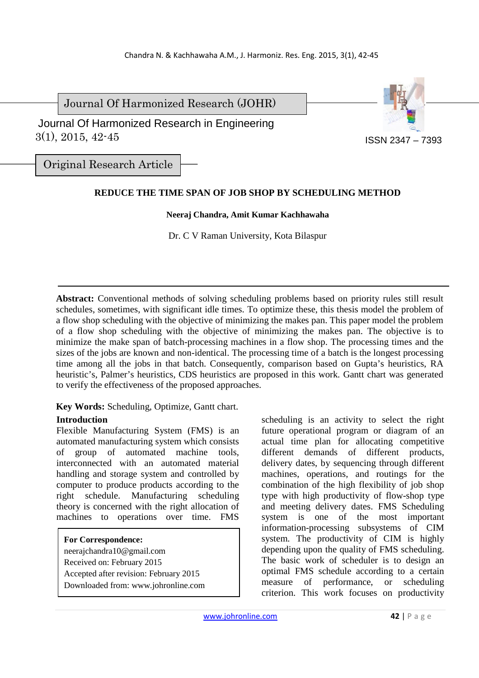Journal Of Harmonized Research (JOHR)

 3(1), 2015, 42-45 Journal Of Harmonized Research in Engineering

Original Research Article

# **REDUCE THE TIME SPAN OF JOB SHOP BY SCHEDULING METHOD**

## **Neeraj Chandra, Amit Kumar Kachhawaha**

Dr. C V Raman University, Kota Bilaspur

**Abstract:** Conventional methods of solving scheduling problems based on priority rules still result schedules, sometimes, with significant idle times. To optimize these, this thesis model the problem of a flow shop scheduling with the objective of minimizing the makes pan. This paper model the problem of a flow shop scheduling with the objective of minimizing the makes pan. The objective is to minimize the make span of batch-processing machines in a flow shop. The processing times and the sizes of the jobs are known and non-identical. The processing time of a batch is the longest processing time among all the jobs in that batch. Consequently, comparison based on Gupta's heuristics, RA heuristic's, Palmer's heuristics, CDS heuristics are proposed in this work. Gantt chart was generated to verify the effectiveness of the proposed approaches.

**Key Words:** Scheduling, Optimize, Gantt chart.

## **Introduction**

Flexible Manufacturing System (FMS) is an automated manufacturing system which consists of group of automated machine tools, interconnected with an automated material handling and storage system and controlled by computer to produce products according to the right schedule. Manufacturing scheduling theory is concerned with the right allocation of machines to operations over time. FMS

- **For Correspondence:**
- neerajchandra10@gmail.com
- Received on: February 2015
- Accepted after revision: February 2015
- Downloaded from: www.johronline.com

scheduling is an activity to select the right future operational program or diagram of an actual time plan for allocating competitive different demands of different products, delivery dates, by sequencing through different machines, operations, and routings for the combination of the high flexibility of job shop type with high productivity of flow-shop type and meeting delivery dates. FMS Scheduling system is one of the most important information-processing subsystems of CIM system. The productivity of CIM is highly depending upon the quality of FMS scheduling. The basic work of scheduler is to design an optimal FMS schedule according to a certain measure of performance, or scheduling criterion. This work focuses on productivity

ISSN 2347 – 7393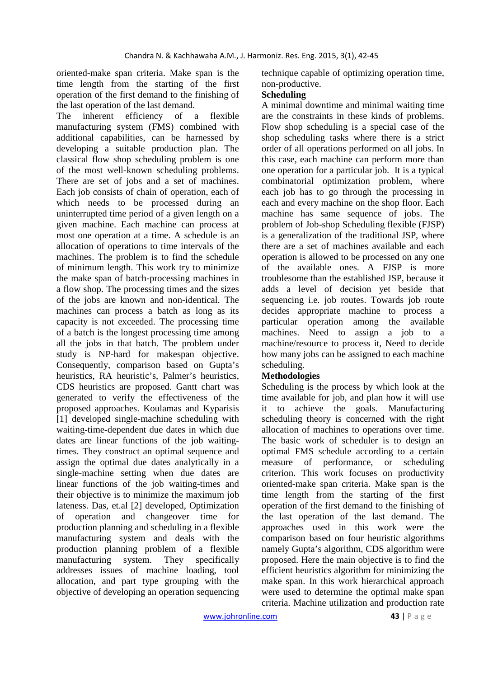oriented-make span criteria. Make span is the time length from the starting of the first operation of the first demand to the finishing of the last operation of the last demand.

The inherent efficiency of a flexible manufacturing system (FMS) combined with additional capabilities, can be harnessed by developing a suitable production plan. The classical flow shop scheduling problem is one of the most well-known scheduling problems. There are set of jobs and a set of machines. Each job consists of chain of operation, each of which needs to be processed during an uninterrupted time period of a given length on a given machine. Each machine can process at most one operation at a time. A schedule is an allocation of operations to time intervals of the machines. The problem is to find the schedule of minimum length. This work try to minimize the make span of batch-processing machines in a flow shop. The processing times and the sizes of the jobs are known and non-identical. The machines can process a batch as long as its capacity is not exceeded. The processing time of a batch is the longest processing time among all the jobs in that batch. The problem under study is NP-hard for makespan objective. Consequently, comparison based on Gupta's heuristics, RA heuristic's, Palmer's heuristics, CDS heuristics are proposed. Gantt chart was generated to verify the effectiveness of the proposed approaches. Koulamas and Kyparisis [1] developed single-machine scheduling with waiting-time-dependent due dates in which due dates are linear functions of the job waitingtimes. They construct an optimal sequence and assign the optimal due dates analytically in a single-machine setting when due dates are linear functions of the job waiting-times and their objective is to minimize the maximum job lateness. Das, et.al [2] developed, Optimization of operation and changeover time for production planning and scheduling in a flexible manufacturing system and deals with the production planning problem of a flexible manufacturing system. They specifically addresses issues of machine loading, tool allocation, and part type grouping with the objective of developing an operation sequencing

technique capable of optimizing operation time, non-productive.

# **Scheduling**

A minimal downtime and minimal waiting time are the constraints in these kinds of problems. Flow shop scheduling is a special case of the shop scheduling tasks where there is a strict order of all operations performed on all jobs. In this case, each machine can perform more than one operation for a particular job. It is a typical combinatorial optimization problem, where each job has to go through the processing in each and every machine on the shop floor. Each machine has same sequence of jobs. The problem of Job-shop Scheduling flexible (FJSP) is a generalization of the traditional JSP, where there are a set of machines available and each operation is allowed to be processed on any one of the available ones. A FJSP is more troublesome than the established JSP, because it adds a level of decision yet beside that sequencing i.e. job routes. Towards job route decides appropriate machine to process a particular operation among the available machines. Need to assign a job to a machine/resource to process it, Need to decide how many jobs can be assigned to each machine scheduling.

# **Methodologies**

Scheduling is the process by which look at the time available for job, and plan how it will use it to achieve the goals. Manufacturing scheduling theory is concerned with the right allocation of machines to operations over time. The basic work of scheduler is to design an optimal FMS schedule according to a certain measure of performance, or scheduling criterion. This work focuses on productivity oriented-make span criteria. Make span is the time length from the starting of the first operation of the first demand to the finishing of the last operation of the last demand. The approaches used in this work were the comparison based on four heuristic algorithms namely Gupta's algorithm, CDS algorithm were proposed. Here the main objective is to find the efficient heuristics algorithm for minimizing the make span. In this work hierarchical approach were used to determine the optimal make span criteria. Machine utilization and production rate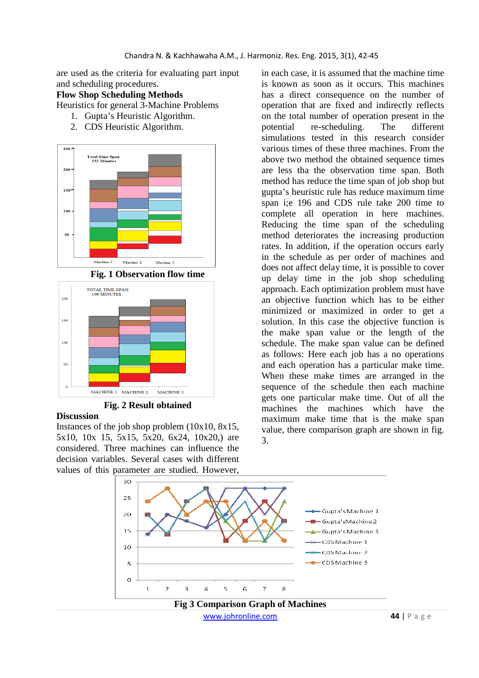are used as the criteria for evaluating part input and scheduling procedures.

## **Flow Shop Scheduling Methods**

Heuristics for general 3-Machine Problems

- 1. Gupta's Heuristic Algorithm.
- 2. CDS Heuristic Algorithm.







**Fig. 2 Result obtained**

#### **Discussion**

Instances of the job shop problem (10x10, 8x15, 5x10, 10x 15, 5x15, 5x20, 6x24, 10x20,) are considered. Three machines can influence the decision variables. Several cases with different values of this parameter are studied. However,

in each case, it is assumed that the machine time is known as soon as it occurs. This machines has a direct consequence on the number of operation that are fixed and indirectly reflects on the total number of operation present in the potential re-scheduling. The different simulations tested in this research consider various times of these three machines. From the above two method the obtained sequence times are less tha the observation time span. Both method has reduce the time span of job shop but gupta's heuristic rule has reduce maximum time span i;e 196 and CDS rule take 200 time to complete all operation in here machines. Reducing the time span of the scheduling method deteriorates the increasing production rates. In addition, if the operation occurs early in the schedule as per order of machines and does not affect delay time, it is possible to cover up delay time in the job shop scheduling approach. Each optimization problem must have an objective function which has to be either minimized or maximized in order to get a solution. In this case the objective function is the make span value or the length of the schedule. The make span value can be defined as follows: Here each job has a no operations and each operation has a particular make time. When these make times are arranged in the sequence of the schedule then each machine gets one particular make time. Out of all the machines the machines which have the maximum make time that is the make span value, there comparison graph are shown in fig. 3.